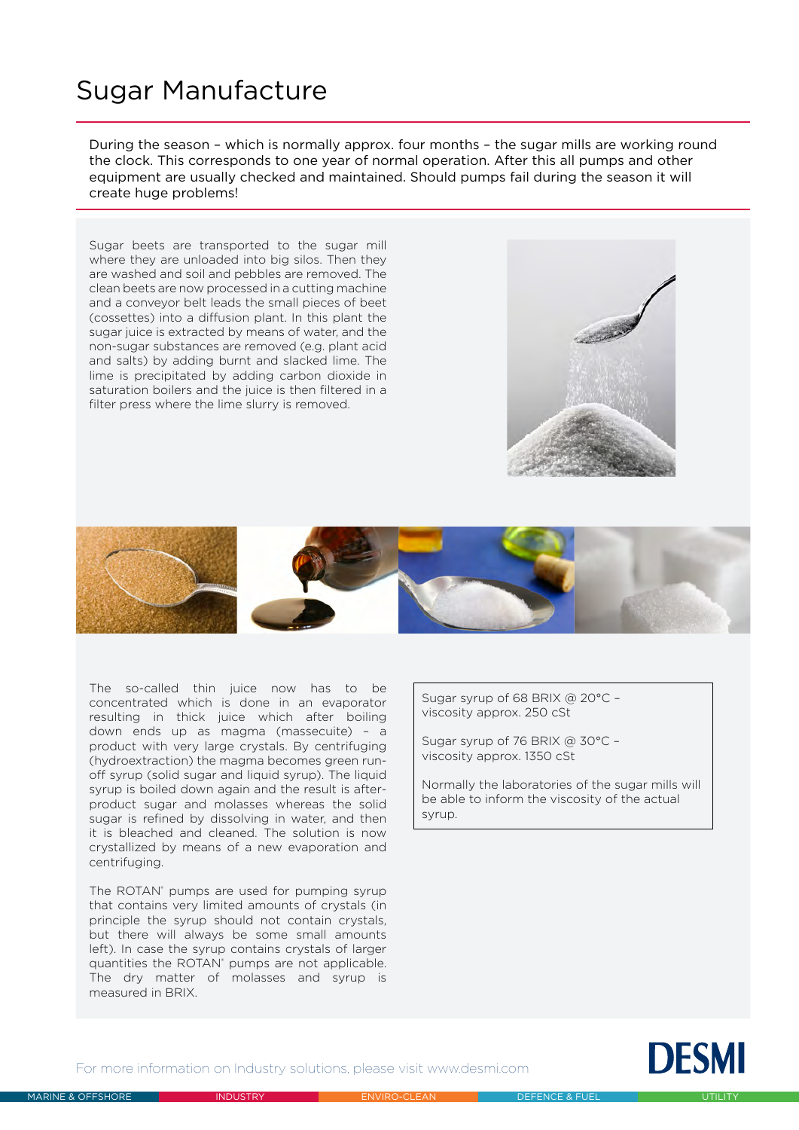## Sugar Manufacture

During the season – which is normally approx. four months – the sugar mills are working round the clock. This corresponds to one year of normal operation. After this all pumps and other equipment are usually checked and maintained. Should pumps fail during the season it will create huge problems!

Sugar beets are transported to the sugar mill where they are unloaded into big silos. Then they are washed and soil and pebbles are removed. The clean beets are now processed in a cutting machine and a conveyor belt leads the small pieces of beet (cossettes) into a diffusion plant. In this plant the sugar juice is extracted by means of water, and the non-sugar substances are removed (e.g. plant acid and salts) by adding burnt and slacked lime. The lime is precipitated by adding carbon dioxide in saturation boilers and the juice is then filtered in a filter press where the lime slurry is removed.





The so-called thin juice now has to be concentrated which is done in an evaporator resulting in thick juice which after boiling down ends up as magma (massecuite) – a product with very large crystals. By centrifuging (hydroextraction) the magma becomes green runoff syrup (solid sugar and liquid syrup). The liquid syrup is boiled down again and the result is afterproduct sugar and molasses whereas the solid sugar is refined by dissolving in water, and then it is bleached and cleaned. The solution is now crystallized by means of a new evaporation and centrifuging.

The ROTAN<sup>®</sup> pumps are used for pumping syrup that contains very limited amounts of crystals (in principle the syrup should not contain crystals, but there will always be some small amounts left). In case the syrup contains crystals of larger quantities the ROTAN<sup>®</sup> pumps are not applicable. The dry matter of molasses and syrup is measured in BRIX.

Sugar syrup of 68 BRIX @ 20°C – viscosity approx. 250 cSt

Sugar syrup of 76 BRIX @ 30°C – viscosity approx. 1350 cSt

Normally the laboratories of the sugar mills will be able to inform the viscosity of the actual syrup.



For more information on Industry solutions, please visit www.desmi.com